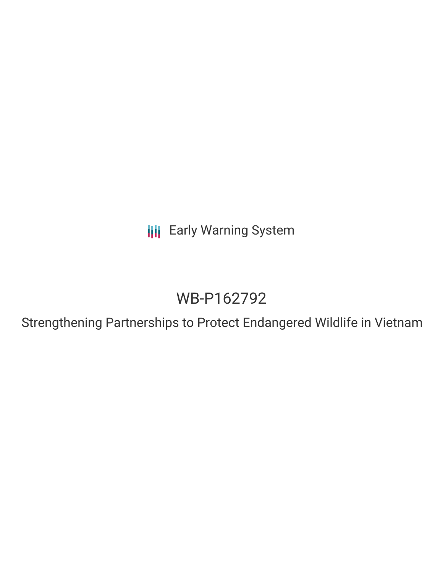**III** Early Warning System

# WB-P162792

Strengthening Partnerships to Protect Endangered Wildlife in Vietnam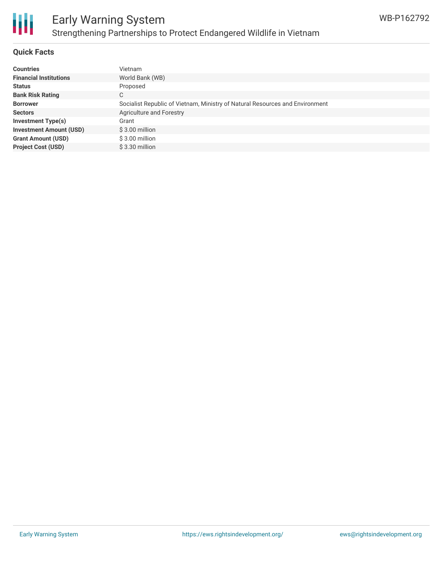

#### **Quick Facts**

| <b>Countries</b>               | Vietnam                                                                      |
|--------------------------------|------------------------------------------------------------------------------|
| <b>Financial Institutions</b>  | World Bank (WB)                                                              |
| <b>Status</b>                  | Proposed                                                                     |
| <b>Bank Risk Rating</b>        | С                                                                            |
| <b>Borrower</b>                | Socialist Republic of Vietnam, Ministry of Natural Resources and Environment |
| <b>Sectors</b>                 | Agriculture and Forestry                                                     |
| <b>Investment Type(s)</b>      | Grant                                                                        |
| <b>Investment Amount (USD)</b> | $$3.00$ million                                                              |
| <b>Grant Amount (USD)</b>      | \$3.00 million                                                               |
| <b>Project Cost (USD)</b>      | $$3.30$ million                                                              |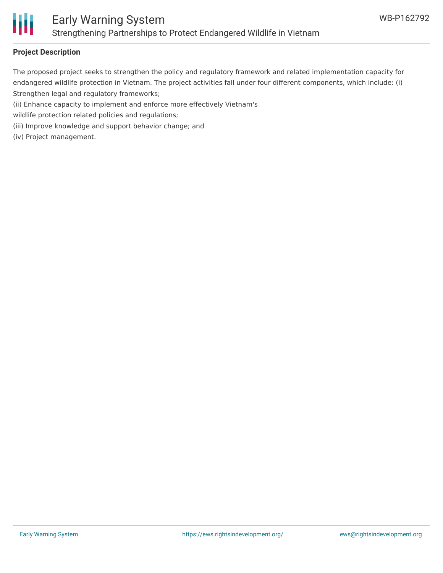

#### **Project Description**

The proposed project seeks to strengthen the policy and regulatory framework and related implementation capacity for endangered wildlife protection in Vietnam. The project activities fall under four different components, which include: (i) Strengthen legal and regulatory frameworks;

(ii) Enhance capacity to implement and enforce more effectively Vietnam's

wildlife protection related policies and regulations;

(iii) Improve knowledge and support behavior change; and

(iv) Project management.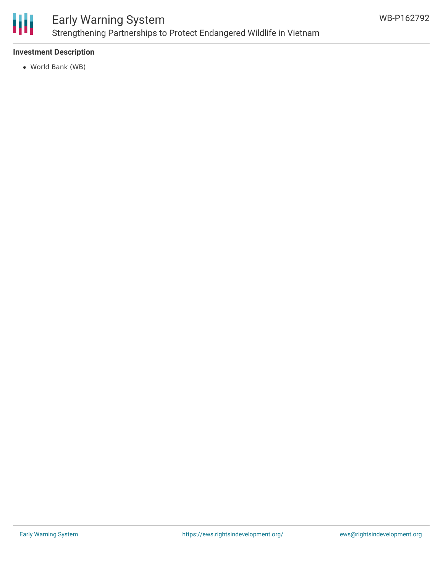

### Early Warning System Strengthening Partnerships to Protect Endangered Wildlife in Vietnam

#### **Investment Description**

World Bank (WB)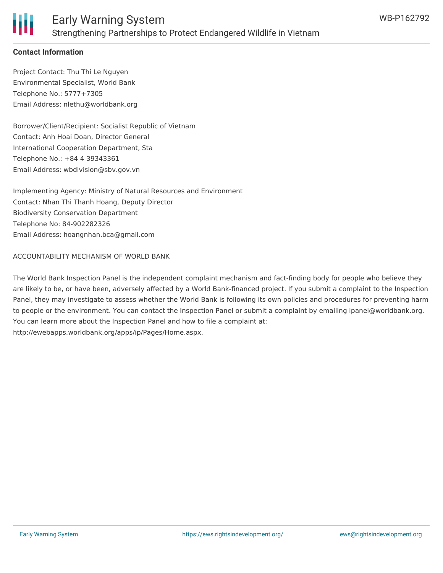

#### **Contact Information**

Project Contact: Thu Thi Le Nguyen Environmental Specialist, World Bank Telephone No.: 5777+7305 Email Address: nlethu@worldbank.org

Borrower/Client/Recipient: Socialist Republic of Vietnam Contact: Anh Hoai Doan, Director General International Cooperation Department, Sta Telephone No.: +84 4 39343361 Email Address: wbdivision@sbv.gov.vn

Implementing Agency: Ministry of Natural Resources and Environment Contact: Nhan Thi Thanh Hoang, Deputy Director Biodiversity Conservation Department Telephone No: 84-902282326 Email Address: hoangnhan.bca@gmail.com

#### ACCOUNTABILITY MECHANISM OF WORLD BANK

The World Bank Inspection Panel is the independent complaint mechanism and fact-finding body for people who believe they are likely to be, or have been, adversely affected by a World Bank-financed project. If you submit a complaint to the Inspection Panel, they may investigate to assess whether the World Bank is following its own policies and procedures for preventing harm to people or the environment. You can contact the Inspection Panel or submit a complaint by emailing ipanel@worldbank.org. You can learn more about the Inspection Panel and how to file a complaint at: http://ewebapps.worldbank.org/apps/ip/Pages/Home.aspx.